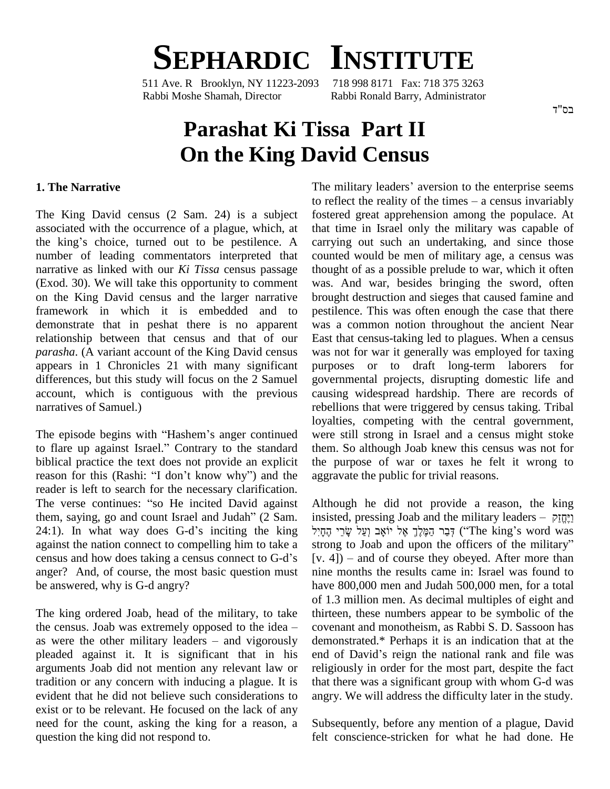

511 Ave. R Brooklyn, NY 11223-2093 Rabbi Moshe Shamah, Director Rabbi Ronald Barry, Administrator

# **Parashat Ki Tissa Part II On the King David Census**

#### **1. The Narrative**

The King David census (2 Sam. 24) is a subject fostered g<br>associated with the occurrence of a plague, which, at that time<br>the king's choice, turned out to be pestilence. A carrying of associated with the occurrence of a plague, which, at number of leading commentators interpreted that narrative as linked with our *Ki Tissa* census passage (Exod. 30). We will take this opportunity to comment on the King David census and the larger narrative framework in which it is embedded and to demonstrate that in peshat there is no apparent relationship between that census and that of our *parasha*. (A variant account of the King David census appears in 1 Chronicles 21 with many significant differences, but this study will focus on the 2 Samuel account, which is contiguous with the previous narratives of Samuel.) narratives of Samuel.)<br>
The episode begins with "Hashem's anger continued were

loyalti<br>to flare up against Israel." Contrary to the standard them.<br>to flare up against Israel." Contrary to the standard them. biblical practice the text does not provide an explicit to flare up against Israel." Contrary to the standard them<br>biblical practice the text does not provide an explicit the preason for this (Rashi: "I don't know why") and the aggra reader is left to search for the necessary clarification. reason for this (Rashi: "I don't know why") and the agreader is left to search for the necessary clarification.<br>The verse continues: "so He incited David against A reader is left to search for the necessary clarification.<br>The verse continues: "so He incited David against A<br>them, saying, go and count Israel and Judah" (2 Sam. in The verse continues: "so He incited David against Althouthem, saying, go and count Israel and Judah" (2 Sam. insiste 24:1). In what way does G-d's inciting the king  $\overline{577}$ against the nation connect to compelling him to take a stron 24:1). In what way does G-d's inciting the king  $\overline{z}$ הָתָיִל against the nation connect to compelling him to take a stron census and how does taking a census connect to G-d's [v. 4] anger? And, of course, the most basic question must be answered, why is G-d angry?

The king ordered Joab, head of the military, to take of 1.3<br>The king ordered Joab, head of the military, to take thirtee<br>the census. Joab was extremely opposed to the idea – coven. The king ordered Joab, head of the military, to take thirtee<br>the census. Joab was extremely opposed to the idea – covenas<br>as were the other military leaders – and vigorously demor pleaded against it. It is significant that in his end of David's reign the national rank and file was arguments Joab did not mention any relevant law or tradition or any concern with inducing a plague. It is evident that he did not believe such considerations to exist or to be relevant. He focused on the lack of any need for the count, asking the king for a reason, a question the king did not respond to.

**PAVIA Census**<br>The military leaders' aversion to the enterprise seems The military leaders' aversion to the enterprise seems<br>to reflect the reality of the times – a census invariably fostered great apprehension among the populace. At that time in Israel only the military was capable of carrying out such an undertaking, and since those counted would be men of military age, a census was thought of as a possible prelude to war, which it often was. And war, besides bringing the sword, often brought destruction and sieges that caused famine and pestilence. This was often enough the case that there was a common notion throughout the ancient Near East that census-taking led to plagues. When a census was not for war it generally was employed for taxing purposes or to draft long-term laborers for governmental projects, disrupting domestic life and causing widespread hardship. There are records of rebellions that were triggered by census taking. Tribal loyalties, competing with the central government, were still strong in Israel and a census might stoke them. So although Joab knew this census was not for the purpose of war or taxes he felt it wrong to aggravate the public for trivial reasons.

Although he did not provide a reason, the king Although he did not provide a reason, the king<br>insisted, pressing Joab and the military leaders –  $\frac{1}{2}$ Alth pugh he did not provide a reason, the king<br>ted, pressing Joab and the military leaders – חֲמֶלֶךְ אֶל יוֹאָב (עֲל שָׂרֵי<br>הֲכָּר הַמֶּלֶךְ אֶל יוֹאָב (עֲל שָׂרֵי (''The king's word was insisted, pressing Joab and the military leaders – יְהֻחֲיָל<br>הָבַר הַמֶּלֶךְ אֶל יוֹאָב וְעַל שָׂרֵי הֶחָיִל ("The king's word was<br>strong to Joab and upon the officers of the military" ּרָבַר הַמֶּלֶךְ אֶל יוֹאָב וְעַל שָׂרֵי הֶחָיִל ("The king's word was strong to Joab and upon the officers of the military"<br>[v. 4]) – and of course they obeyed. After more than nine months the results came in: Israel was found to have 800,000 men and Judah 500,000 men, for a total of 1.3 million men. As decimal multiples of eight and thirteen, these numbers appear to be symbolic of the covenant and monotheism, as Rabbi S. D. Sassoon has demonstrated.\* Perhaps it is an indication that at the covenant and monotheism, as Rabbi S. D. Sassoon has<br>demonstrated.\* Perhaps it is an indication that at the<br>end of David's reign the national rank and file was religiously in order for the most part, despite the fact that there was a significant group with whom G-d was angry. We will address the difficulty later in the study.

Subsequently, before any mention of a plague, David felt conscience-stricken for what he had done. He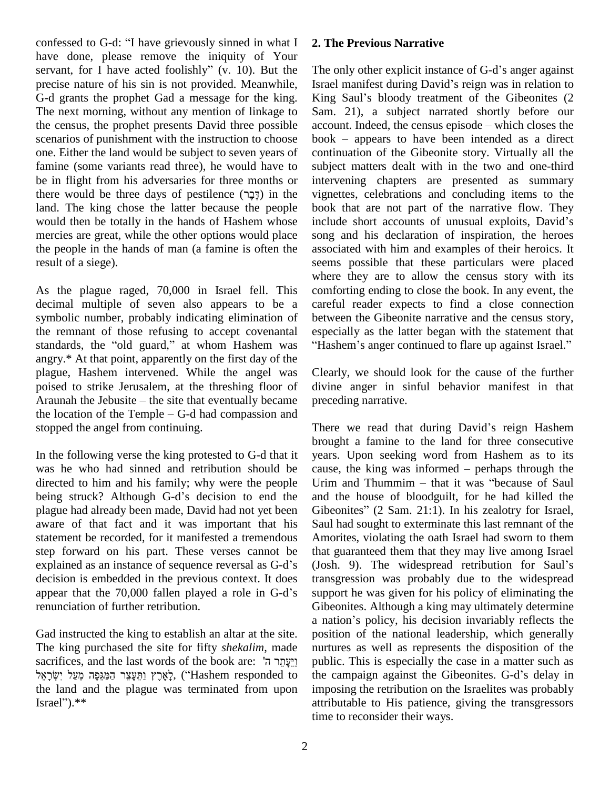confessed to G-d: "I have grievously sinned in what  $I = 2$ . have done, please remove the iniquity of Your confessed to G-d: "I have grievously sinned in what I 2. The have done, please remove the iniquity of Your servant, for I have acted foolishly"  $(v. 10)$ . But the The  $\alpha$ precise nature of his sin is not provided. Meanwhile, G-d grants the prophet Gad a message for the king. King Saul's bloody treatment of the Gibeonites (2) The next morning, without any mention of linkage to the census, the prophet presents David three possible scenarios of punishment with the instruction to choose book – appears to have been intended as a direct one. Either the land would be subject to seven years of famine (some variants read three), he would have to subject be in flight from his adversaries for three months or interventere would be three days of pestilence  $(\exists \exists n)$  in the vignet be in flight from his adversaries for three months or land. The king chose the latter because the people would then be totally in the hands of Hashem whose include short accounts of unusual exploits, David's mercies are great, while the other options would place the people in the hands of man (a famine is often the result of a siege).

As the plague raged, 70,000 in Israel fell. This decimal multiple of seven also appears to be a symbolic number, probably indicating elimination of the remnant of those refusing to accept covenantal standards, the "old guard," at whom Hashem was angry.\* At that point, apparently on the first day of the plague, Hashem intervened. While the angel was Clear<br>poised to strike Jerusalem, at the threshing floor of divin<br>Araunah the Jebusite – the site that eventually became prece poised to strike Jerusalem, at the threshing floor of divine<br>Araunah the Jebusite – the site that eventually became preced<br>the location of the Temple – G-d had compassion and stopped the angel from continuing.

In the following verse the king protested to G-d that it was he who had sinned and retribution should be cause, the king was informed – perhaps through the directed to him and his family; why were the people was he who had sinned and retribution should be cause<br>directed to him and his family; why were the people Urim<br>being struck? Although G-d's decision to end the and plague had already been made, David had not yet been aware of that fact and it was important that his statement be recorded, for it manifested a tremendous step forward on his part. These verses cannot be that g statement be recorded, for it manifested a tremendous American American Step forward on his part. These verses cannot be that explained as an instance of sequence reversal as G-d's (Jos decision is embedded in the previous context. It does explained as an instance of sequence reversal as G-d's (Jos<br>decision is embedded in the previous context. It does trans<br>appear that the 70,000 fallen played a role in G-d's supp renunciation of further retribution.

Gad instructed the king to establish an altar at the site. po The king purchased the site for fifty *shekalim*, made Gad instructed the king to establish an altar at the site. po<br>The king purchased the site for fifty *shekalim*, made nu<br>sacrifices, and the last words of the book are: "יַעֲחֲר ה' The king purchased the site for fifty *shekalim*, made nurtur sacrifices, and the last words of the book are: יַעֲתֵר ה'<br>יְאֶרֶץ וַתֲעֲצֵר הַמַּגֵּפָּה מֵעֲל יִשְׂרָאֵל public (\*) בְּאֶרֶץ וַתֵּעֲצֵר הַמַּגֵּפָה מֵעֲל יִש the land and the plague was terminated from upon צֵר הַמַּגֵּפָה מֵעַל יִשְׂרָאֵל<br>the land and the p<br>Israel'').\*\*

#### **2. The Previous Narrative**

The only other explicit instance of G-d's anger against The only other explicit instance of G-d's anger against<br>Israel manifest during David's reign was in relation to The only other explicit instance of G-d's anger against<br>Israel manifest during David's reign was in relation to<br>King Saul's bloody treatment of the Gibeonites (2 Sam. 21), a subject narrated shortly before our King Saul's bloody treatment of the Gibeonites (2<br>Sam. 21), a subject narrated shortly before our<br>account. Indeed, the census episode – which closes the Sam. 21), a subject narrated shortly before our account. Indeed, the census episode – which closes the book – appears to have been intended as a direct continuation of the Gibeonite story. Virtually all the subject matters dealt with in the two and one-third intervening chapters are presented as summary vignettes, celebrations and concluding items to the book that are not part of the narrative flow. They include short accounts of unusual exploits, David's book that are not part of the narrative flow. They song and his declaration of inspiration, the heroes associated with him and examples of their heroics. It seems possible that these particulars were placed where they are to allow the census story with its comforting ending to close the book. In any event, the careful reader expects to find a close connection between the Gibeonite narrative and the census story, especially as the latter began with the statement that "Hashem's anger continued to flare up against Israel."

Clearly, we should look for the cause of the further divine anger in sinful behavior manifest in that preceding narrative.

There we read that during David's reign Hashem brought a famine to the land for three consecutive years. Upon seeking word from Hashem as to its brought a famine to the land for three consecutive<br>years. Upon seeking word from Hashem as to its<br>cause, the king was informed – perhaps through the years. Upon seeking word from Hashem as to its<br>cause, the king was informed – perhaps through the<br>Urim and Thummim – that it was "because of Saul and the house of bloodguilt, for he had killed the Urim and Thummim – that it was "because of Saul<br>and the house of bloodguilt, for he had killed the<br>Gibeonites" (2 Sam. 21:1). In his zealotry for Israel, Saul had sought to exterminate this last remnant of the Amorites, violating the oath Israel had sworn to them that guaranteed them that they may live among Israel Amorites, violating the oath Israel had sworn to them<br>that guaranteed them that they may live among Israel<br>(Josh. 9). The widespread retribution for Saul's transgression was probably due to the widespread support he was given for his policy of eliminating the Gibeonites. Although a king may ultimately determine support he was given for his policy of eliminating the<br>Gibeonites. Although a king may ultimately determine<br>a nation's policy, his decision invariably reflects the position of the national leadership, which generally nurtures as well as represents the disposition of the public. This is especially the case in a matter such as the campaign against the Gibeonites. G-d's delay in public. This is especially the case in a matter such as imposing the retribution on the Israelites was probably attributable to His patience, giving the transgressors time to reconsider their ways.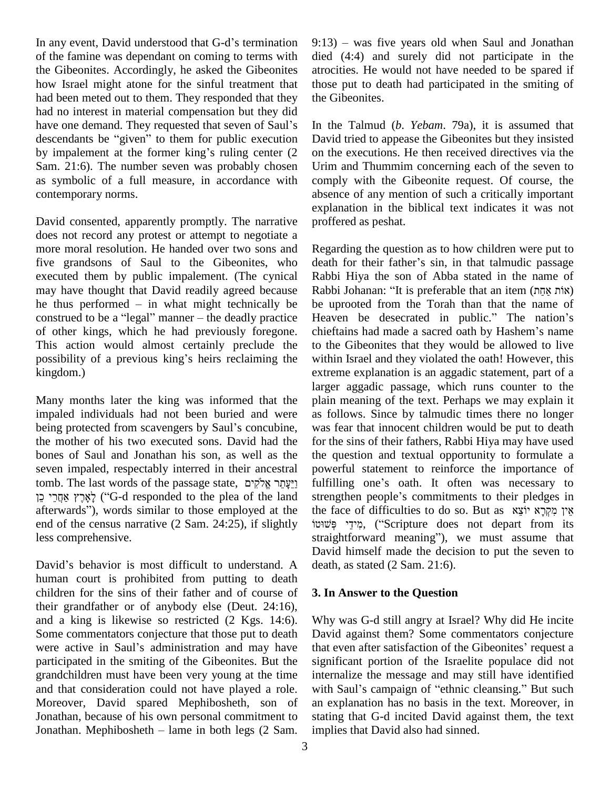In any event, David understood that G-d's termination of the famine was dependant on coming to terms with the Gibeonites. Accordingly, he asked the Gibeonites how Israel might atone for the sinful treatment that had been meted out to them. They responded that they the Gi<br>had no interest in material compensation but they did<br>have one demand. They requested that seven of Saul's In the had no interest in material compensation but they did have one demand. They requested that seven of Saul's descendants be "given" to them for public execution by impalement at the former king's ruling center  $(2)$ Sam. 21:6). The number seven was probably chosen as symbolic of a full measure, in accordance with contemporary norms.

David consented, apparently promptly. The narrative does not record any protest or attempt to negotiate a more moral resolution. He handed over two sons and five grandsons of Saul to the Gibeonites, who executed them by public impalement. (The cynical Rabb<br>may have thought that David readily agreed because Rabb<br>he thus performed – in what might technically be be up may have thought that David readily agreed because Rabb<br>he thus performed – in what might technically be be up<br>construed to be a "legal" manner – the deadly practice Heav of other kings, which he had previously foregone. This action would almost certainly preclude the to the of other kings, which he had previously foregone. chief<br>This action would almost certainly preclude the to the<br>possibility of a previous king's heirs reclaiming the withi kingdom.)

Many months later the king was informed that the plain impaled individuals had not been buried and were as fo being protected from scavengers by Saul's concubine, was f impaled individuals had not been buried and were the mother of his two executed sons. David had the bones of Saul and Jonathan his son, as well as the the q<br>seven impaled, respectably interred in their ancestral power<br>tomb. The last words of the passage state, יֵיצֶתֵּר אֱלֹקִים seven impaled, respectably interred in their ancestral po ven impaled, respectably interred in their ancestral power<br>mb. The last words of the passage state, וַיֵּעֲתֵר אֱלֹקִים fulfilli<br>G-d responded to the plea of the land streng tomb. The last words of the passage state, וַיֵּעֲתֵר אֱלֹקִים [fulfil]<br>לְאֶרֶץ אֲחֲרֵי כֵן ('G-d responded to the plea of the land streng afterwards''), words similar to those employed at the the fa end of the census narrative (2 Sam. 24:25), if slightly וּמִידֵי פִּּשׁוּטוֹ, ("Scripture does not depart from its less comprehensive.

David's behavior is most difficult to understand. A human court is prohibited from putting to death children for the sins of their father and of course of their grandfather or of anybody else (Deut. 24:16), and a king is likewise so restricted (2 Kgs. 14:6). Some commentators conjecture that those put to death David and a king is likewise so restricted (2 Kgs. 14:6). Why Some commentators conjecture that those put to death David<br>were active in Saul's administration and may have that  $\epsilon$ participated in the smiting of the Gibeonites. But the grandchildren must have been very young at the time and that consideration could not have played a role. Moreover, David spared Mephibosheth, son of Jonathan, because of his own personal commitment to Jonathan. Mephibosheth  $-$  lame in both legs (2 Sam.

 $9:13$ ) – was five years old when Saul and Jonathan died (4:4) and surely did not participate in the atrocities. He would not have needed to be spared if those put to death had participated in the smiting of the Gibeonites.

In the Talmud (*b*. *Yebam*. 79a), it is assumed that David tried to appease the Gibeonites but they insisted on the executions. He then received directives via the Urim and Thummim concerning each of the seven to comply with the Gibeonite request. Of course, the absence of any mention of such a critically important explanation in the biblical text indicates it was not proffered as peshat.

Regarding the question as to how children were put to death for their father's sin, in that talmudic passage Rabbi Hiya the son of Abba stated in the name of death for their father's sin, in that talmudic passage<br>Rabbi Hiya the son of Abba stated in the name of<br>Rabbi Johanan: "It is preferable that an item (אוֹת אֲחֵת) be uprooted from the Torah than that the name of Heaven be desecrated in public." The nation's chieftains had made a sacred oath by Hashem's name Heaven be desecrated in public.<sup>3</sup> The nation<sup>3</sup> She uprooted from the Torah than that the name of Heaven be desecrated in public.<sup>3</sup> The nation<sup>3</sup> She to the Gibeonites that they would be allowed to live within Israel and they violated the oath! However, this extreme explanation is an aggadic statement, part of a larger aggadic passage, which runs counter to the plain meaning of the text. Perhaps we may explain it as follows. Since by talmudic times there no longer was fear that innocent children would be put to death for the sins of their fathers, Rabbi Hiya may have used the question and textual opportunity to formulate a<br>powerful statement to reinforce the importance of<br>fulfilling one's oath. It often was necessary to powerful statement to reinforce the importance of fulfilling one's oath. It often was necessary to strengthen people's commitments to their pledges in fulfilling one's oath. It often was necessary to strengthen people's commitments to their pledges in the face of difficulties to do so. But as אין מקרא יוצא straightforward meaning"), we must assume that David himself made the decision to put the seven to death, as stated (2 Sam. 21:6).

### **3. In Answer to the Question**

Why was G-d still angry at Israel? Why did He incite<br>David against them? Some commentators conjecture<br>that even after satisfaction of the Gibeonites' request a David against them? Some commentators conjecture significant portion of the Israelite populace did not internalize the message and may still have identified with Saul's campaign of "ethnic cleansing." But such an explanation has no basis in the text. Moreover, in stating that G-d incited David against them, the text implies that David also had sinned.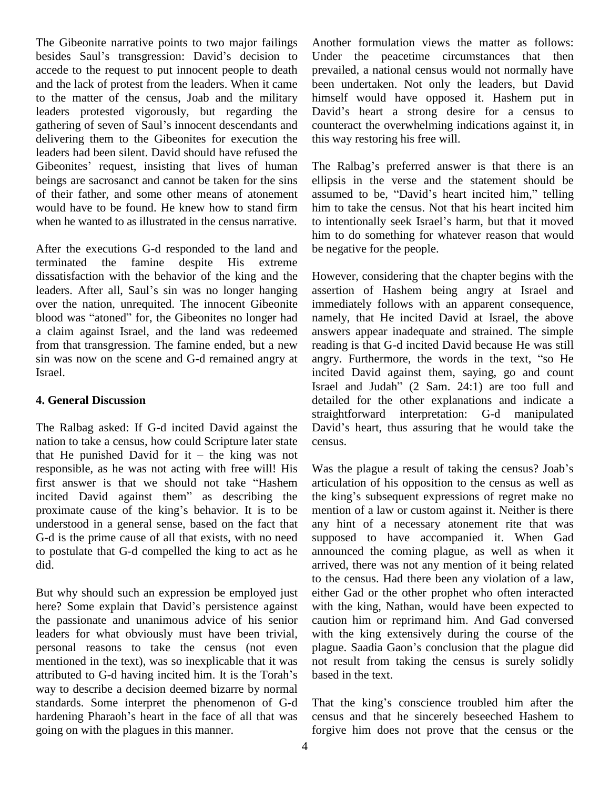The Gibeonite narrative points to two major failings Ano The Gibeonite narrative points to two major failings Anoth<br>besides Saul's transgression: David's decision to Under accede to the request to put innocent people to death and the lack of protest from the leaders. When it came to the matter of the census, Joab and the military leaders protested vigorously, but regarding the to the matter of the census, Joab and the military himse<br>leaders protested vigorously, but regarding the David<br>gathering of seven of Saul's innocent descendants and counter delivering them to the Gibeonites for execution the this we<br>leaders had been silent. David should have refused the<br>Gibeonites' request, insisting that lives of human The F leaders had been silent. David should have refused the beings are sacrosanct and cannot be taken for the sins of their father, and some other means of atonement would have to be found. He knew how to stand firm when he wanted to as illustrated in the census narrative. to intentionally seek Israel's harm, but that it moved

After the executions G-d responded to the land and terminated the famine despite His extreme dissatisfaction with the behavior of the king and the terminated the famine despite His extreme<br>dissatisfaction with the behavior of the king and the Howe<br>leaders. After all, Saul's sin was no longer hanging asserti over the nation, unrequited. The innocent Gibeonite leaders. After all, Saul's sin was no longer hanging assertiover the nation, unrequited. The innocent Gibeonite immed<br>blood was "atoned" for, the Gibeonites no longer had namel a claim against Israel, and the land was redeemed from that transgression. The famine ended, but a new sin was now on the scene and G-d remained angry at angry. Furthermore, the words in the text, "so He Israel.

## **4. General Discussion**

The Ralbag asked: If G-d incited David against the David's heart, thus assuring that he would take the nation to take a census, how could Scripture later state The Ralbag asked: If G-d incited David against the David nation to take a census, how could Scripture later state central He punished David for it  $-$  the king was not responsible, as he was not acting with free will! His Was<br>first answer is that we should not take "Hashem articu<br>incited David against them" as describing the the k that He punished David for it – the king was not<br>responsible, as he was not acting with free will! His Was the pl<br>first answer is that we should not take "Hashem articulation first answer is that we should not take "Hashem articulation of his opposition to the census as well as incited David against them" as describing the king's subsequent expressions of regret make no proximate cause of the k understood in a general sense, based on the fact that G-d is the prime cause of all that exists, with no need to postulate that G-d compelled the king to act as he did.

But why should such an expression be employed just eit to<br>But why should such an expression be employed just eit<br>here? Some explain that David's persistence against wi the passionate and unanimous advice of his senior leaders for what obviously must have been trivial, personal reasons to take the census (not even plague. Saadia Gaon's conclusion that the plague did mentioned in the text), was so inexplicable that it was not personal reasons to take the census (not even plagementioned in the text), was so inexplicable that it was not attributed to G-d having incited him. It is the Torah's base way to describe a decision deemed bizarre by normal<br>standards. Some interpret the phenomenon of G-d<br>hardening Pharaoh's heart in the face of all that was cens standards. Some interpret the phenomenon of G-d going on with the plagues in this manner.

Another formulation views the matter as follows: Under the peacetime circumstances that then prevailed, a national census would not normally have been undertaken. Not only the leaders, but David<br>himself would have opposed it. Hashem put in<br>David's heart a strong desire for a census to himself would have opposed it. Hashem put in counteract the overwhelming indications against it, in this way restoring his free will.

The Ralbag's preferred answer is that there is an ellipsis in the verse and the statement should be The Ralbag's preferred answer is that there is an ellipsis in the verse and the statement should be assumed to be, "David's heart incited him," telling him to take the census. Not that his heart incited him assumed to be, "David's heart incited him," telling<br>him to take the census. Not that his heart incited him<br>to intentionally seek Israel's harm, but that it moved him to do something for whatever reason that would be negative for the people.

However, considering that the chapter begins with the assertion of Hashem being angry at Israel and immediately follows with an apparent consequence, namely, that He incited David at Israel, the above answers appear inadequate and strained. The simple reading is that G-d incited David because He was still answers appear inadequate and strained. The simple reading is that G-d incited David because He was still angry. Furthermore, the words in the text, "so He incited David against them, saying, go and count angry. Furthermore, the words in the text, "so He<br>incited David against them, saying, go and count<br>Israel and Judah" (2 Sam. 24:1) are too full and detailed for the other explanations and indicate a<br>straightforward interpretation: G-d manipulated<br>David's heart, thus assuring that he would take the straightforward interpretation: G-d manipulated census.

Was the plague a result of taking the census? Joab's articulation of his opposition to the census as well as Was the plague a result of taking the census? Joab's<br>articulation of his opposition to the census as well as<br>the king's subsequent expressions of regret make no mention of a law or custom against it. Neither is there any hint of a necessary atonement rite that was supposed to have accompanied it. When Gad announced the coming plague, as well as when it arrived, there was not any mention of it being related to the census. Had there been any violation of a law, either Gad or the other prophet who often interacted with the king, Nathan, would have been expected to caution him or reprimand him. And Gad conversed<br>with the king extensively during the course of the<br>plague. Saadia Gaon's conclusion that the plague did with the king extensively during the course of the not result from taking the census is surely solidly based in the text.

That the king's conscience troubled him after the census and that he sincerely beseeched Hashem to forgive him does not prove that the census or the